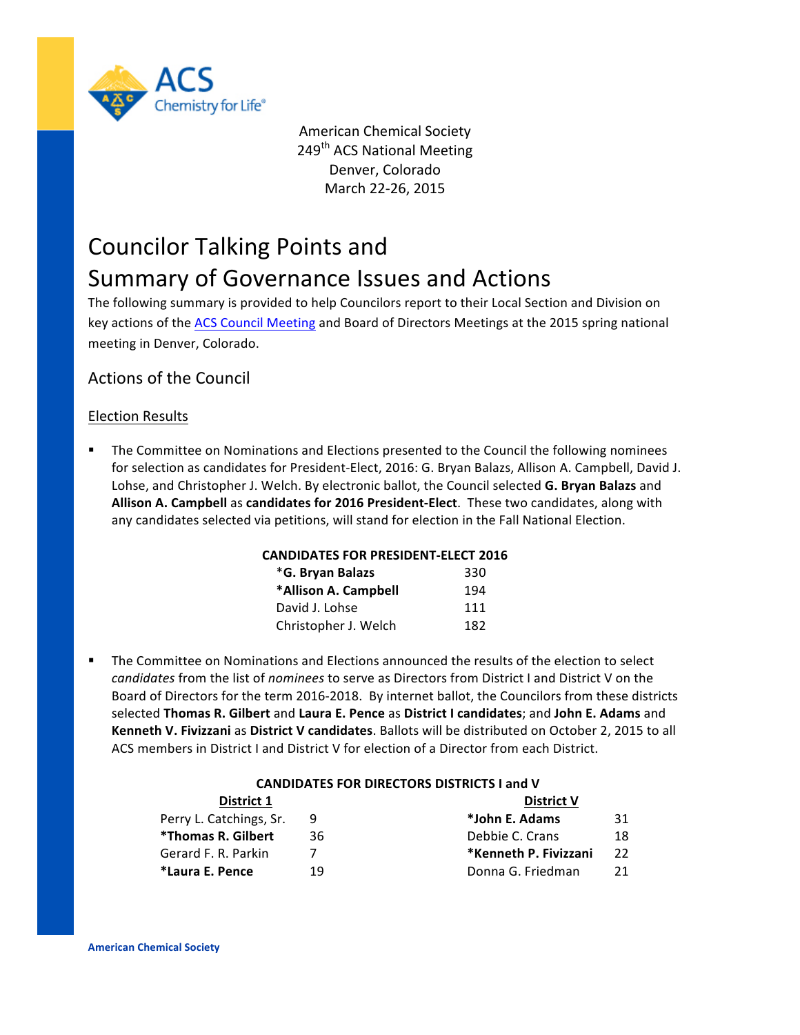

**American Chemical Society** 249<sup>th</sup> ACS National Meeting Denver, Colorado March 22-26, 2015

# Councilor Talking Points and Summary of Governance Issues and Actions

The following summary is provided to help Councilors report to their Local Section and Division on key actions of the ACS Council Meeting and Board of Directors Meetings at the 2015 spring national meeting in Denver, Colorado.

# Actions of the Council

# Election Results

The Committee on Nominations and Elections presented to the Council the following nominees for selection as candidates for President-Elect, 2016: G. Bryan Balazs, Allison A. Campbell, David J. Lohse, and Christopher J. Welch. By electronic ballot, the Council selected G. Bryan Balazs and Allison A. Campbell as candidates for 2016 President-Elect. These two candidates, along with any candidates selected via petitions, will stand for election in the Fall National Election.

## **CANDIDATES FOR PRESIDENT-ELECT 2016**

| *G. Bryan Balazs     | 330 |
|----------------------|-----|
| *Allison A. Campbell | 194 |
| David J. Lohse       | 111 |
| Christopher J. Welch | 182 |

The Committee on Nominations and Elections announced the results of the election to select *candidates* from the list of *nominees* to serve as Directors from District I and District V on the Board of Directors for the term 2016-2018. By internet ballot, the Councilors from these districts selected **Thomas R. Gilbert** and **Laura E. Pence** as **District I candidates**; and **John E. Adams** and **Kenneth V. Fivizzani** as District V candidates. Ballots will be distributed on October 2, 2015 to all ACS members in District I and District V for election of a Director from each District.

## **CANDIDATES FOR DIRECTORS DISTRICTS I and V**

| District 1              |    | <b>District V</b>     |    |
|-------------------------|----|-----------------------|----|
| Perry L. Catchings, Sr. |    | *John E. Adams        | 31 |
| *Thomas R. Gilbert      | 36 | Debbie C. Crans       | 18 |
| Gerard F. R. Parkin     |    | *Kenneth P. Fivizzani | 22 |
| *Laura E. Pence         | 19 | Donna G. Friedman     | 21 |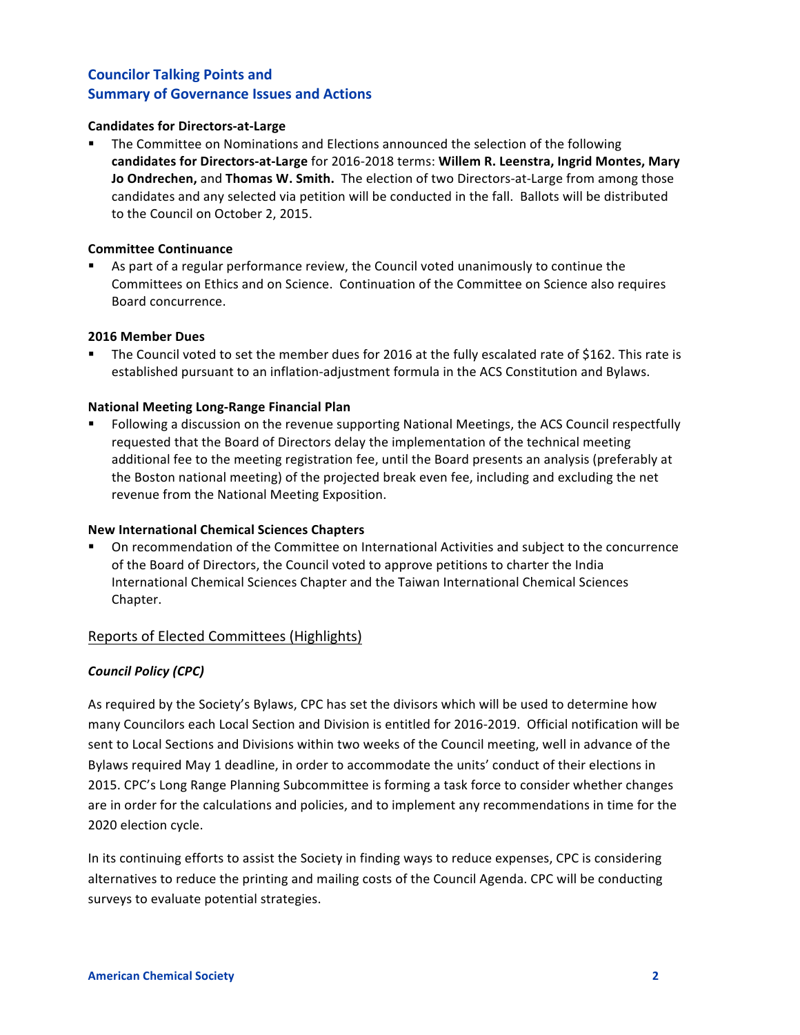#### **Candidates for Directors-at-Large**

**•** The Committee on Nominations and Elections announced the selection of the following candidates for Directors-at-Large for 2016-2018 terms: Willem R. Leenstra, Ingrid Montes, Mary **Jo Ondrechen, and Thomas W. Smith.** The election of two Directors-at-Large from among those candidates and any selected via petition will be conducted in the fall. Ballots will be distributed to the Council on October 2, 2015.

#### **Committee Continuance**

**•** As part of a regular performance review, the Council voted unanimously to continue the Committees on Ethics and on Science. Continuation of the Committee on Science also requires Board concurrence. 

#### **2016 Member Dues**

■ The Council voted to set the member dues for 2016 at the fully escalated rate of \$162. This rate is established pursuant to an inflation-adjustment formula in the ACS Constitution and Bylaws.

#### **National Meeting Long-Range Financial Plan**

Following a discussion on the revenue supporting National Meetings, the ACS Council respectfully requested that the Board of Directors delay the implementation of the technical meeting additional fee to the meeting registration fee, until the Board presents an analysis (preferably at the Boston national meeting) of the projected break even fee, including and excluding the net revenue from the National Meeting Exposition.

#### **New International Chemical Sciences Chapters**

■ On recommendation of the Committee on International Activities and subject to the concurrence of the Board of Directors, the Council voted to approve petitions to charter the India International Chemical Sciences Chapter and the Taiwan International Chemical Sciences Chapter.

## Reports of Elected Committees (Highlights)

## *Council Policy (CPC)*

As required by the Society's Bylaws, CPC has set the divisors which will be used to determine how many Councilors each Local Section and Division is entitled for 2016-2019. Official notification will be sent to Local Sections and Divisions within two weeks of the Council meeting, well in advance of the Bylaws required May 1 deadline, in order to accommodate the units' conduct of their elections in 2015. CPC's Long Range Planning Subcommittee is forming a task force to consider whether changes are in order for the calculations and policies, and to implement any recommendations in time for the 2020 election cycle.

In its continuing efforts to assist the Society in finding ways to reduce expenses, CPC is considering alternatives to reduce the printing and mailing costs of the Council Agenda. CPC will be conducting surveys to evaluate potential strategies.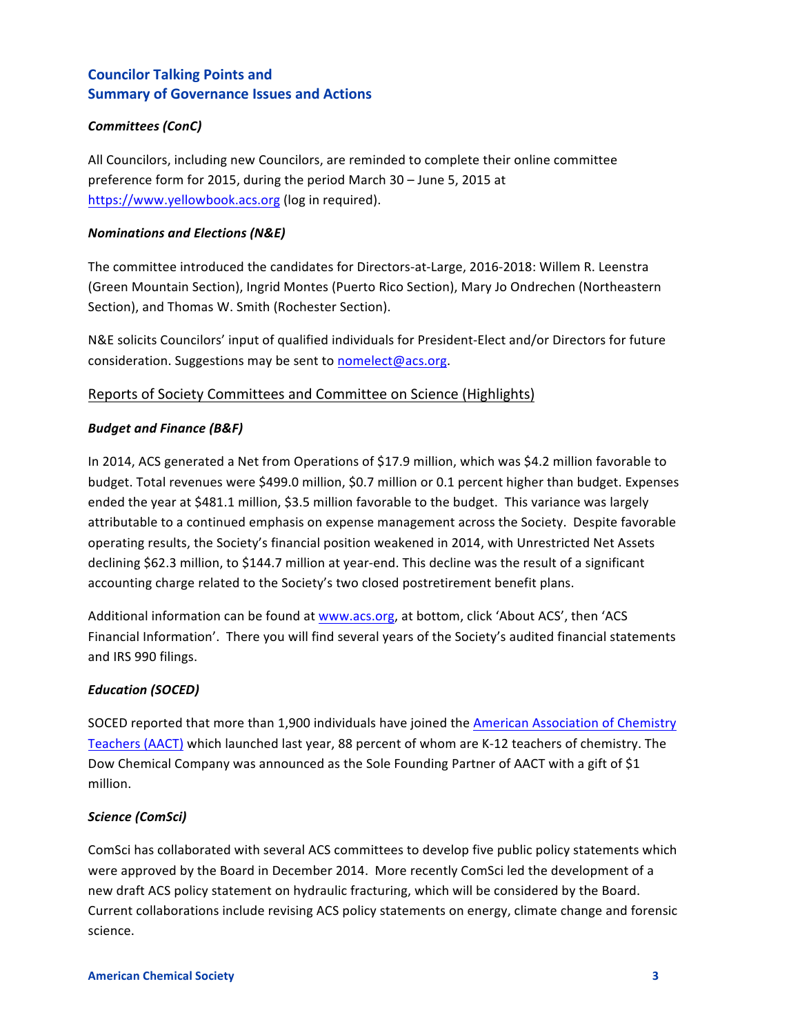## *Committees (ConC)*

All Councilors, including new Councilors, are reminded to complete their online committee preference form for 2015, during the period March 30 - June 5, 2015 at https://www.yellowbook.acs.org (log in required).

## *Nominations and Elections (N&E)*

The committee introduced the candidates for Directors-at-Large, 2016-2018: Willem R. Leenstra (Green Mountain Section), Ingrid Montes (Puerto Rico Section), Mary Jo Ondrechen (Northeastern Section), and Thomas W. Smith (Rochester Section).

N&E solicits Councilors' input of qualified individuals for President-Elect and/or Directors for future consideration. Suggestions may be sent to nomelect@acs.org.

# Reports of Society Committees and Committee on Science (Highlights)

## *Budget and Finance (B&F)*

In 2014, ACS generated a Net from Operations of \$17.9 million, which was \$4.2 million favorable to budget. Total revenues were \$499.0 million, \$0.7 million or 0.1 percent higher than budget. Expenses ended the year at \$481.1 million, \$3.5 million favorable to the budget. This variance was largely attributable to a continued emphasis on expense management across the Society. Despite favorable operating results, the Society's financial position weakened in 2014, with Unrestricted Net Assets declining \$62.3 million, to \$144.7 million at year-end. This decline was the result of a significant accounting charge related to the Society's two closed postretirement benefit plans.

Additional information can be found at www.acs.org, at bottom, click 'About ACS', then 'ACS Financial Information'. There you will find several years of the Society's audited financial statements and IRS 990 filings.

## *Education (SOCED)*

SOCED reported that more than 1,900 individuals have joined the American Association of Chemistry Teachers (AACT) which launched last year, 88 percent of whom are K-12 teachers of chemistry. The Dow Chemical Company was announced as the Sole Founding Partner of AACT with a gift of \$1 million. 

## *Science (ComSci)*

ComSci has collaborated with several ACS committees to develop five public policy statements which were approved by the Board in December 2014. More recently ComSci led the development of a new draft ACS policy statement on hydraulic fracturing, which will be considered by the Board. Current collaborations include revising ACS policy statements on energy, climate change and forensic science.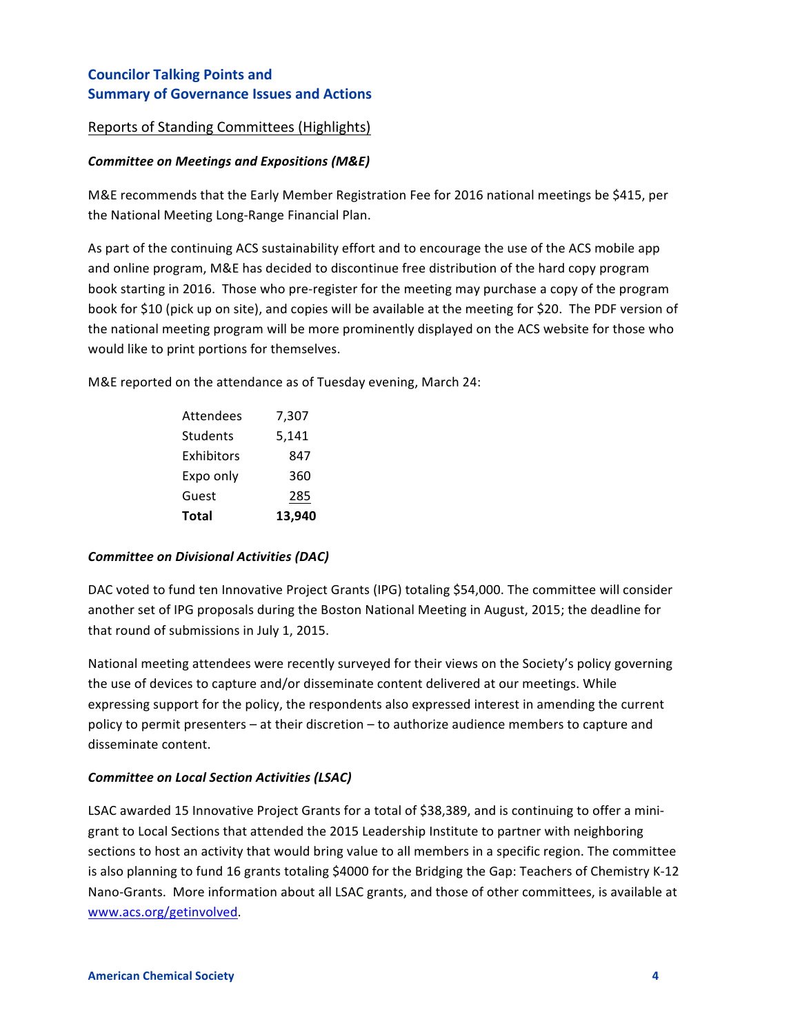## Reports of Standing Committees (Highlights)

## **Committee on Meetings and Expositions (M&E)**

M&E recommends that the Early Member Registration Fee for 2016 national meetings be \$415, per the National Meeting Long-Range Financial Plan.

As part of the continuing ACS sustainability effort and to encourage the use of the ACS mobile app and online program, M&E has decided to discontinue free distribution of the hard copy program book starting in 2016. Those who pre-register for the meeting may purchase a copy of the program book for \$10 (pick up on site), and copies will be available at the meeting for \$20. The PDF version of the national meeting program will be more prominently displayed on the ACS website for those who would like to print portions for themselves.

M&E reported on the attendance as of Tuesday evening, March 24:

| <b>Attendees</b> | 7,307  |
|------------------|--------|
| Students         | 5,141  |
| Exhibitors       | 847    |
| Expo only        | 360    |
| Guest            | 285    |
| <b>Total</b>     | 13,940 |

## **Committee on Divisional Activities (DAC)**

DAC voted to fund ten Innovative Project Grants (IPG) totaling \$54,000. The committee will consider another set of IPG proposals during the Boston National Meeting in August, 2015; the deadline for that round of submissions in July 1, 2015.

National meeting attendees were recently surveyed for their views on the Society's policy governing the use of devices to capture and/or disseminate content delivered at our meetings. While expressing support for the policy, the respondents also expressed interest in amending the current policy to permit presenters – at their discretion – to authorize audience members to capture and disseminate content.

## **Committee on Local Section Activities (LSAC)**

LSAC awarded 15 Innovative Project Grants for a total of \$38,389, and is continuing to offer a minigrant to Local Sections that attended the 2015 Leadership Institute to partner with neighboring sections to host an activity that would bring value to all members in a specific region. The committee is also planning to fund 16 grants totaling \$4000 for the Bridging the Gap: Teachers of Chemistry K-12 Nano-Grants. More information about all LSAC grants, and those of other committees, is available at www.acs.org/getinvolved.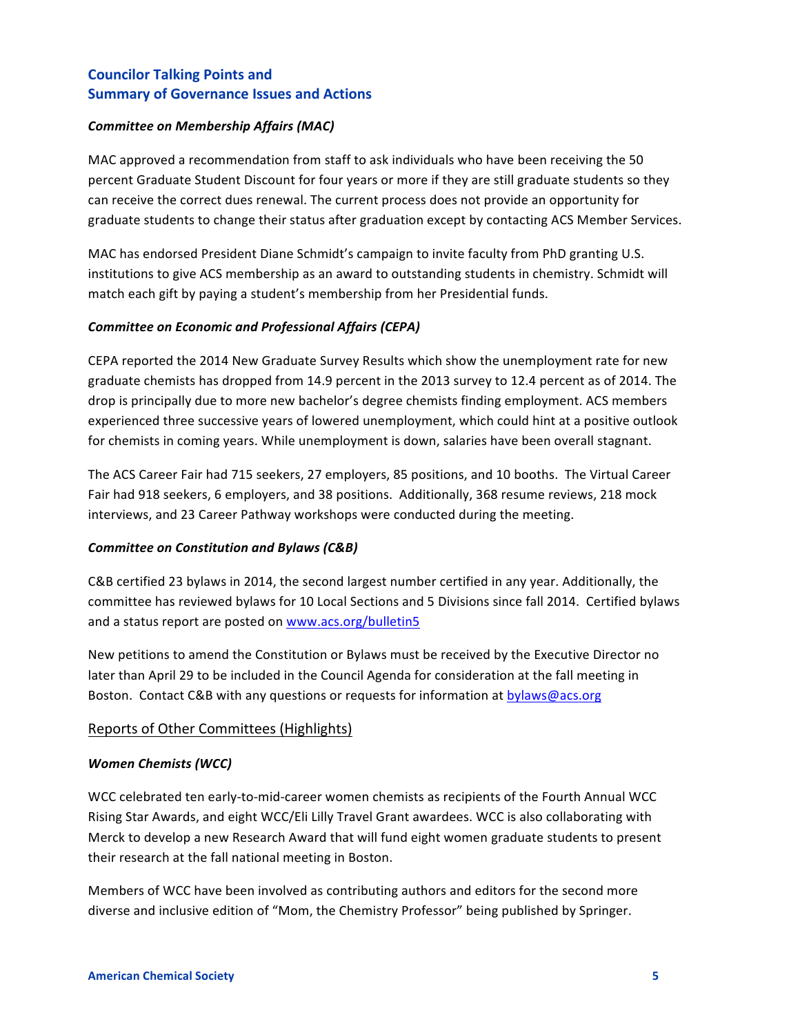## **Committee on Membership Affairs (MAC)**

MAC approved a recommendation from staff to ask individuals who have been receiving the 50 percent Graduate Student Discount for four years or more if they are still graduate students so they can receive the correct dues renewal. The current process does not provide an opportunity for graduate students to change their status after graduation except by contacting ACS Member Services.

MAC has endorsed President Diane Schmidt's campaign to invite faculty from PhD granting U.S. institutions to give ACS membership as an award to outstanding students in chemistry. Schmidt will match each gift by paying a student's membership from her Presidential funds.

## **Committee on Economic and Professional Affairs (CEPA)**

CEPA reported the 2014 New Graduate Survey Results which show the unemployment rate for new graduate chemists has dropped from 14.9 percent in the 2013 survey to 12.4 percent as of 2014. The drop is principally due to more new bachelor's degree chemists finding employment. ACS members experienced three successive years of lowered unemployment, which could hint at a positive outlook for chemists in coming years. While unemployment is down, salaries have been overall stagnant.

The ACS Career Fair had 715 seekers, 27 employers, 85 positions, and 10 booths. The Virtual Career Fair had 918 seekers, 6 employers, and 38 positions. Additionally, 368 resume reviews, 218 mock interviews, and 23 Career Pathway workshops were conducted during the meeting.

## **Committee on Constitution and Bylaws (C&B)**

C&B certified 23 bylaws in 2014, the second largest number certified in any year. Additionally, the committee has reviewed bylaws for 10 Local Sections and 5 Divisions since fall 2014. Certified bylaws and a status report are posted on www.acs.org/bulletin5

New petitions to amend the Constitution or Bylaws must be received by the Executive Director no later than April 29 to be included in the Council Agenda for consideration at the fall meeting in Boston. Contact C&B with any questions or requests for information at bylaws@acs.org

# Reports of Other Committees (Highlights)

## *Women Chemists (WCC)*

WCC celebrated ten early-to-mid-career women chemists as recipients of the Fourth Annual WCC Rising Star Awards, and eight WCC/Eli Lilly Travel Grant awardees. WCC is also collaborating with Merck to develop a new Research Award that will fund eight women graduate students to present their research at the fall national meeting in Boston.

Members of WCC have been involved as contributing authors and editors for the second more diverse and inclusive edition of "Mom, the Chemistry Professor" being published by Springer.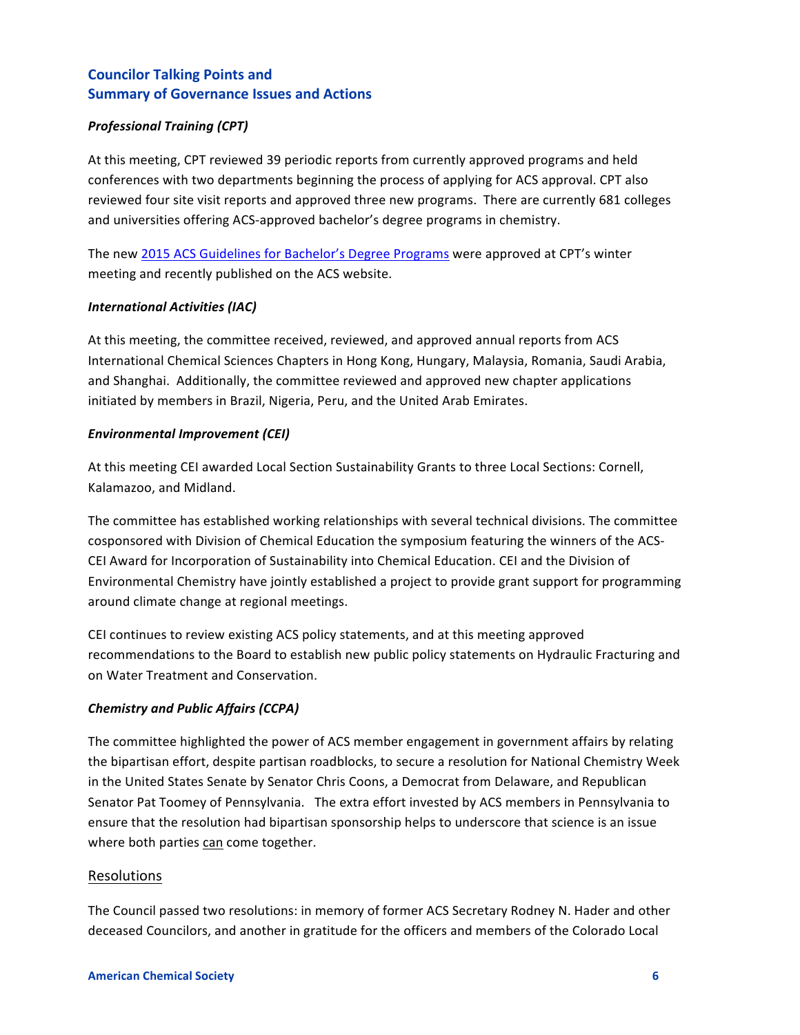## *Professional Training (CPT)*

At this meeting, CPT reviewed 39 periodic reports from currently approved programs and held conferences with two departments beginning the process of applying for ACS approval. CPT also reviewed four site visit reports and approved three new programs. There are currently 681 colleges and universities offering ACS-approved bachelor's degree programs in chemistry.

The new 2015 ACS Guidelines for Bachelor's Degree Programs were approved at CPT's winter meeting and recently published on the ACS website.

## *International Activities (IAC)*

At this meeting, the committee received, reviewed, and approved annual reports from ACS International Chemical Sciences Chapters in Hong Kong, Hungary, Malaysia, Romania, Saudi Arabia, and Shanghai. Additionally, the committee reviewed and approved new chapter applications initiated by members in Brazil, Nigeria, Peru, and the United Arab Emirates.

#### *Environmental Improvement (CEI)*

At this meeting CEI awarded Local Section Sustainability Grants to three Local Sections: Cornell, Kalamazoo, and Midland.

The committee has established working relationships with several technical divisions. The committee cosponsored with Division of Chemical Education the symposium featuring the winners of the ACS-CEI Award for Incorporation of Sustainability into Chemical Education. CEI and the Division of Environmental Chemistry have jointly established a project to provide grant support for programming around climate change at regional meetings.

CEI continues to review existing ACS policy statements, and at this meeting approved recommendations to the Board to establish new public policy statements on Hydraulic Fracturing and on Water Treatment and Conservation.

## *Chemistry and Public Affairs (CCPA)*

The committee highlighted the power of ACS member engagement in government affairs by relating the bipartisan effort, despite partisan roadblocks, to secure a resolution for National Chemistry Week in the United States Senate by Senator Chris Coons, a Democrat from Delaware, and Republican Senator Pat Toomey of Pennsylvania. The extra effort invested by ACS members in Pennsylvania to ensure that the resolution had bipartisan sponsorship helps to underscore that science is an issue where both parties can come together.

## Resolutions

The Council passed two resolutions: in memory of former ACS Secretary Rodney N. Hader and other deceased Councilors, and another in gratitude for the officers and members of the Colorado Local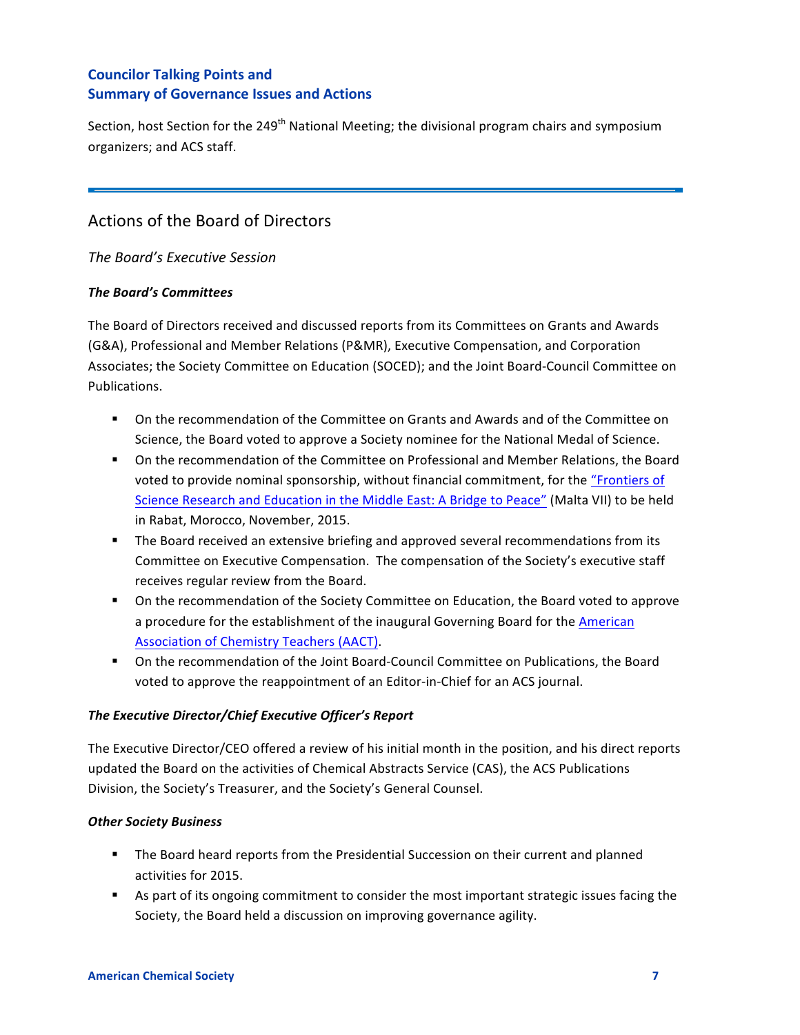Section, host Section for the 249<sup>th</sup> National Meeting; the divisional program chairs and symposium organizers; and ACS staff.

# Actions of the Board of Directors

*The Board's Executive Session*

## **The Board's Committees**

The Board of Directors received and discussed reports from its Committees on Grants and Awards (G&A), Professional and Member Relations (P&MR), Executive Compensation, and Corporation Associates; the Society Committee on Education (SOCED); and the Joint Board-Council Committee on Publications. 

- On the recommendation of the Committee on Grants and Awards and of the Committee on Science, the Board voted to approve a Society nominee for the National Medal of Science.
- On the recommendation of the Committee on Professional and Member Relations, the Board voted to provide nominal sponsorship, without financial commitment, for the "Frontiers of Science Research and Education in the Middle East: A Bridge to Peace" (Malta VII) to be held in Rabat, Morocco, November, 2015.
- **•** The Board received an extensive briefing and approved several recommendations from its Committee on Executive Compensation. The compensation of the Society's executive staff receives regular review from the Board.
- On the recommendation of the Society Committee on Education, the Board voted to approve a procedure for the establishment of the inaugural Governing Board for the American Association of Chemistry Teachers (AACT).
- On the recommendation of the Joint Board-Council Committee on Publications, the Board voted to approve the reappointment of an Editor-in-Chief for an ACS journal.

# The Executive Director/Chief Executive Officer's Report

The Executive Director/CEO offered a review of his initial month in the position, and his direct reports updated the Board on the activities of Chemical Abstracts Service (CAS), the ACS Publications Division, the Society's Treasurer, and the Society's General Counsel.

# *Other Society Business*

- The Board heard reports from the Presidential Succession on their current and planned activities for 2015.
- As part of its ongoing commitment to consider the most important strategic issues facing the Society, the Board held a discussion on improving governance agility.